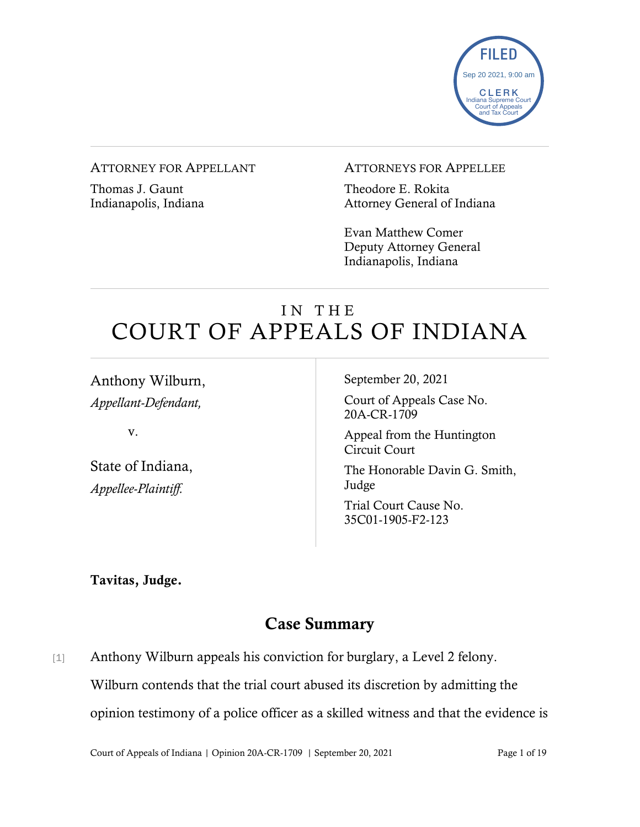

#### ATTORNEY FOR APPELLANT

Thomas J. Gaunt Indianapolis, Indiana

#### ATTORNEYS FOR APPELLEE

Theodore E. Rokita Attorney General of Indiana

Evan Matthew Comer Deputy Attorney General Indianapolis, Indiana

# IN THE COURT OF APPEALS OF INDIANA

Anthony Wilburn, *Appellant-Defendant,*

v.

State of Indiana, *Appellee-Plaintiff.* 

September 20, 2021

Court of Appeals Case No. 20A-CR-1709

Appeal from the Huntington Circuit Court

The Honorable Davin G. Smith, Judge

Trial Court Cause No. 35C01-1905-F2-123

Tavitas, Judge.

# Case Summary

[1] Anthony Wilburn appeals his conviction for burglary, a Level 2 felony. Wilburn contends that the trial court abused its discretion by admitting the opinion testimony of a police officer as a skilled witness and that the evidence is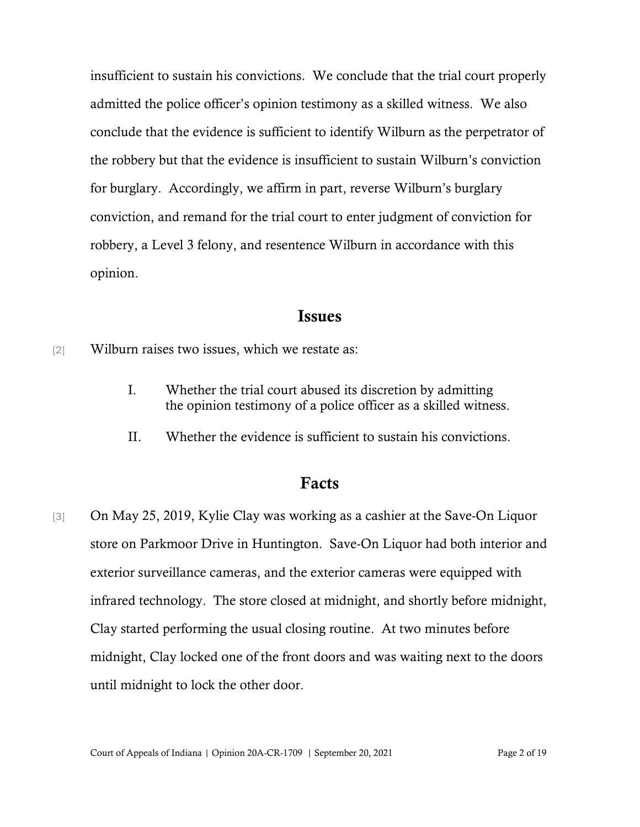insufficient to sustain his convictions. We conclude that the trial court properly admitted the police officer's opinion testimony as a skilled witness. We also conclude that the evidence is sufficient to identify Wilburn as the perpetrator of the robbery but that the evidence is insufficient to sustain Wilburn's conviction for burglary. Accordingly, we affirm in part, reverse Wilburn's burglary conviction, and remand for the trial court to enter judgment of conviction for robbery, a Level 3 felony, and resentence Wilburn in accordance with this opinion.

### Issues

[2] Wilburn raises two issues, which we restate as:

- I. Whether the trial court abused its discretion by admitting the opinion testimony of a police officer as a skilled witness.
- II. Whether the evidence is sufficient to sustain his convictions.

### Facts

[3] On May 25, 2019, Kylie Clay was working as a cashier at the Save-On Liquor store on Parkmoor Drive in Huntington. Save-On Liquor had both interior and exterior surveillance cameras, and the exterior cameras were equipped with infrared technology. The store closed at midnight, and shortly before midnight, Clay started performing the usual closing routine. At two minutes before midnight, Clay locked one of the front doors and was waiting next to the doors until midnight to lock the other door.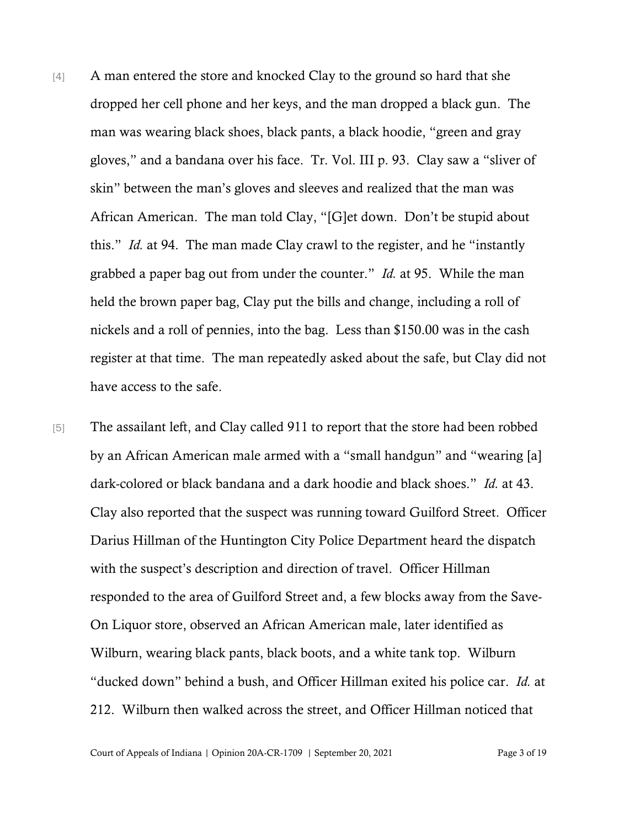- [4] A man entered the store and knocked Clay to the ground so hard that she dropped her cell phone and her keys, and the man dropped a black gun. The man was wearing black shoes, black pants, a black hoodie, "green and gray gloves," and a bandana over his face. Tr. Vol. III p. 93. Clay saw a "sliver of skin" between the man's gloves and sleeves and realized that the man was African American. The man told Clay, "[G]et down. Don't be stupid about this." *Id.* at 94. The man made Clay crawl to the register, and he "instantly grabbed a paper bag out from under the counter." *Id.* at 95. While the man held the brown paper bag, Clay put the bills and change, including a roll of nickels and a roll of pennies, into the bag. Less than \$150.00 was in the cash register at that time. The man repeatedly asked about the safe, but Clay did not have access to the safe.
- [5] The assailant left, and Clay called 911 to report that the store had been robbed by an African American male armed with a "small handgun" and "wearing [a] dark-colored or black bandana and a dark hoodie and black shoes." *Id.* at 43. Clay also reported that the suspect was running toward Guilford Street. Officer Darius Hillman of the Huntington City Police Department heard the dispatch with the suspect's description and direction of travel. Officer Hillman responded to the area of Guilford Street and, a few blocks away from the Save-On Liquor store, observed an African American male, later identified as Wilburn, wearing black pants, black boots, and a white tank top. Wilburn "ducked down" behind a bush, and Officer Hillman exited his police car. *Id.* at 212. Wilburn then walked across the street, and Officer Hillman noticed that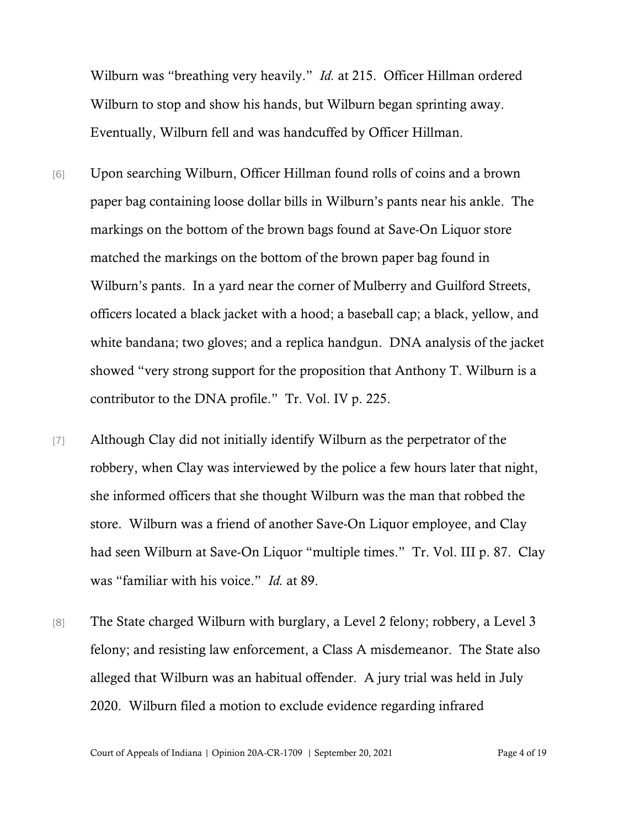Wilburn was "breathing very heavily." *Id.* at 215. Officer Hillman ordered Wilburn to stop and show his hands, but Wilburn began sprinting away. Eventually, Wilburn fell and was handcuffed by Officer Hillman.

- [6] Upon searching Wilburn, Officer Hillman found rolls of coins and a brown paper bag containing loose dollar bills in Wilburn's pants near his ankle. The markings on the bottom of the brown bags found at Save-On Liquor store matched the markings on the bottom of the brown paper bag found in Wilburn's pants. In a yard near the corner of Mulberry and Guilford Streets, officers located a black jacket with a hood; a baseball cap; a black, yellow, and white bandana; two gloves; and a replica handgun. DNA analysis of the jacket showed "very strong support for the proposition that Anthony T. Wilburn is a contributor to the DNA profile." Tr. Vol. IV p. 225.
- [7] Although Clay did not initially identify Wilburn as the perpetrator of the robbery, when Clay was interviewed by the police a few hours later that night, she informed officers that she thought Wilburn was the man that robbed the store. Wilburn was a friend of another Save-On Liquor employee, and Clay had seen Wilburn at Save-On Liquor "multiple times." Tr. Vol. III p. 87. Clay was "familiar with his voice." *Id.* at 89.
- [8] The State charged Wilburn with burglary, a Level 2 felony; robbery, a Level 3 felony; and resisting law enforcement, a Class A misdemeanor. The State also alleged that Wilburn was an habitual offender. A jury trial was held in July 2020. Wilburn filed a motion to exclude evidence regarding infrared

Court of Appeals of Indiana | Opinion 20A-CR-1709 | September 20, 2021 Page 4 of 19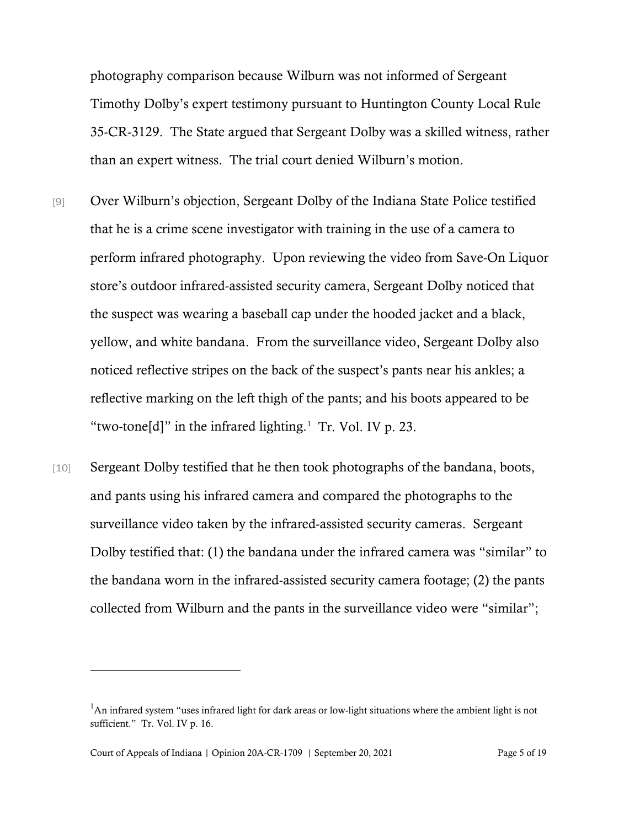photography comparison because Wilburn was not informed of Sergeant Timothy Dolby's expert testimony pursuant to Huntington County Local Rule 35-CR-3129. The State argued that Sergeant Dolby was a skilled witness, rather than an expert witness. The trial court denied Wilburn's motion.

- [9] Over Wilburn's objection, Sergeant Dolby of the Indiana State Police testified that he is a crime scene investigator with training in the use of a camera to perform infrared photography. Upon reviewing the video from Save-On Liquor store's outdoor infrared-assisted security camera, Sergeant Dolby noticed that the suspect was wearing a baseball cap under the hooded jacket and a black, yellow, and white bandana. From the surveillance video, Sergeant Dolby also noticed reflective stripes on the back of the suspect's pants near his ankles; a reflective marking on the left thigh of the pants; and his boots appeared to be "two-tone[d]" in the infrared lighting. $1$  Tr. Vol. IV p. 23.
- [10] Sergeant Dolby testified that he then took photographs of the bandana, boots, and pants using his infrared camera and compared the photographs to the surveillance video taken by the infrared-assisted security cameras. Sergeant Dolby testified that: (1) the bandana under the infrared camera was "similar" to the bandana worn in the infrared-assisted security camera footage; (2) the pants collected from Wilburn and the pants in the surveillance video were "similar";

<span id="page-4-0"></span> $<sup>1</sup>$ An infrared system "uses infrared light for dark areas or low-light situations where the ambient light is not</sup> sufficient." Tr. Vol. IV p. 16.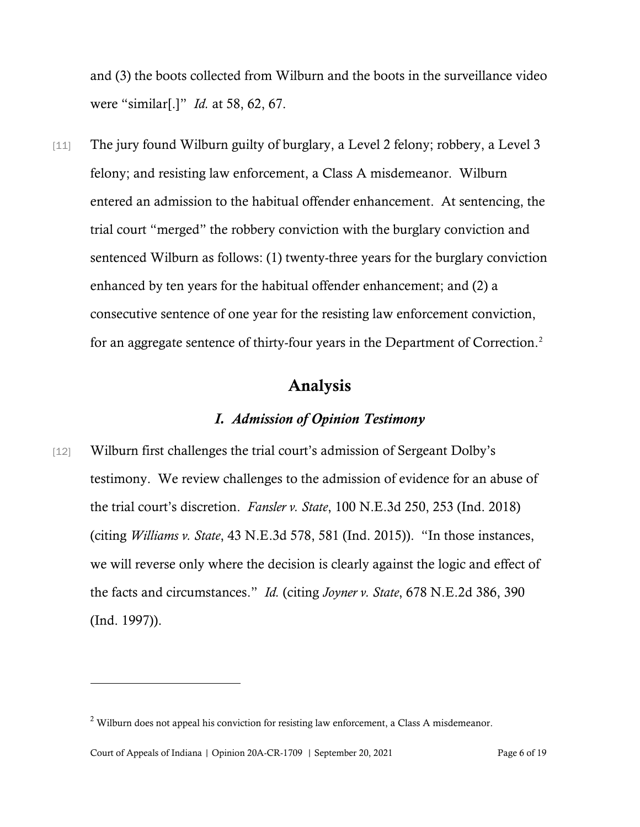and (3) the boots collected from Wilburn and the boots in the surveillance video were "similar[.]" *Id.* at 58, 62, 67.

[11] The jury found Wilburn guilty of burglary, a Level 2 felony; robbery, a Level 3 felony; and resisting law enforcement, a Class A misdemeanor. Wilburn entered an admission to the habitual offender enhancement. At sentencing, the trial court "merged" the robbery conviction with the burglary conviction and sentenced Wilburn as follows: (1) twenty-three years for the burglary conviction enhanced by ten years for the habitual offender enhancement; and (2) a consecutive sentence of one year for the resisting law enforcement conviction, for an aggregate sentence of thirty-four years in the Department of Correction.<sup>[2](#page-5-0)</sup>

### Analysis

# *I. Admission of Opinion Testimony*

[12] Wilburn first challenges the trial court's admission of Sergeant Dolby's testimony. We review challenges to the admission of evidence for an abuse of the trial court's discretion. *Fansler v. State*, 100 N.E.3d 250, 253 (Ind. 2018) (citing *Williams v. State*, 43 N.E.3d 578, 581 (Ind. 2015)). "In those instances, we will reverse only where the decision is clearly against the logic and effect of the facts and circumstances." *Id.* (citing *Joyner v. State*, 678 N.E.2d 386, 390 (Ind. 1997)).

<span id="page-5-0"></span><sup>&</sup>lt;sup>2</sup> Wilburn does not appeal his conviction for resisting law enforcement, a Class A misdemeanor.

Court of Appeals of Indiana | Opinion 20A-CR-1709 | September 20, 2021 Page 6 of 19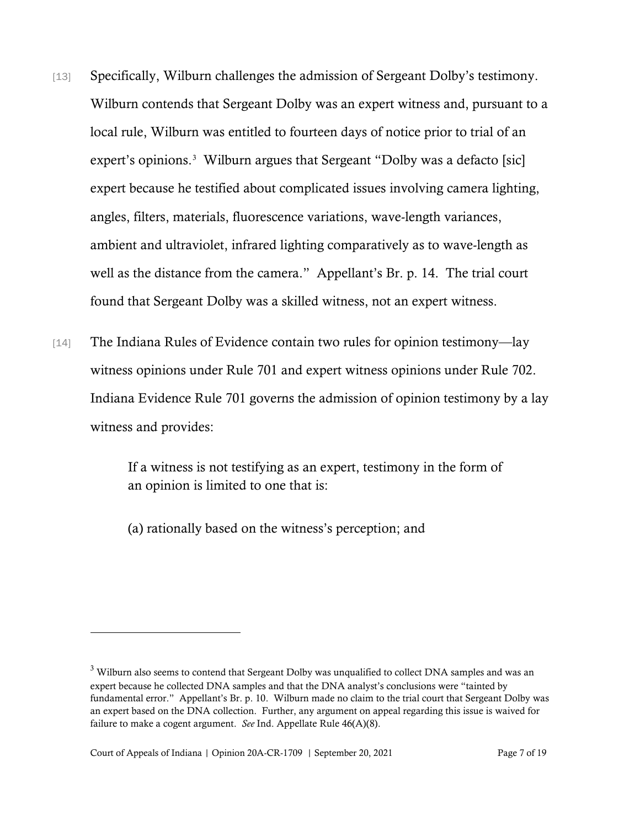- [13] Specifically, Wilburn challenges the admission of Sergeant Dolby's testimony. Wilburn contends that Sergeant Dolby was an expert witness and, pursuant to a local rule, Wilburn was entitled to fourteen days of notice prior to trial of an expert's opinions.<sup>[3](#page-6-0)</sup> Wilburn argues that Sergeant "Dolby was a defacto [sic] expert because he testified about complicated issues involving camera lighting, angles, filters, materials, fluorescence variations, wave-length variances, ambient and ultraviolet, infrared lighting comparatively as to wave-length as well as the distance from the camera." Appellant's Br. p. 14. The trial court found that Sergeant Dolby was a skilled witness, not an expert witness.
- [14] The Indiana Rules of Evidence contain two rules for opinion testimony—lay witness opinions under Rule 701 and expert witness opinions under Rule 702. Indiana Evidence Rule 701 governs the admission of opinion testimony by a lay witness and provides:

If a witness is not testifying as an expert, testimony in the form of an opinion is limited to one that is:

(a) rationally based on the witness's perception; and

<span id="page-6-0"></span><sup>&</sup>lt;sup>3</sup> Wilburn also seems to contend that Sergeant Dolby was unqualified to collect DNA samples and was an expert because he collected DNA samples and that the DNA analyst's conclusions were "tainted by fundamental error." Appellant's Br. p. 10. Wilburn made no claim to the trial court that Sergeant Dolby was an expert based on the DNA collection. Further, any argument on appeal regarding this issue is waived for failure to make a cogent argument. *See* Ind. Appellate Rule 46(A)(8).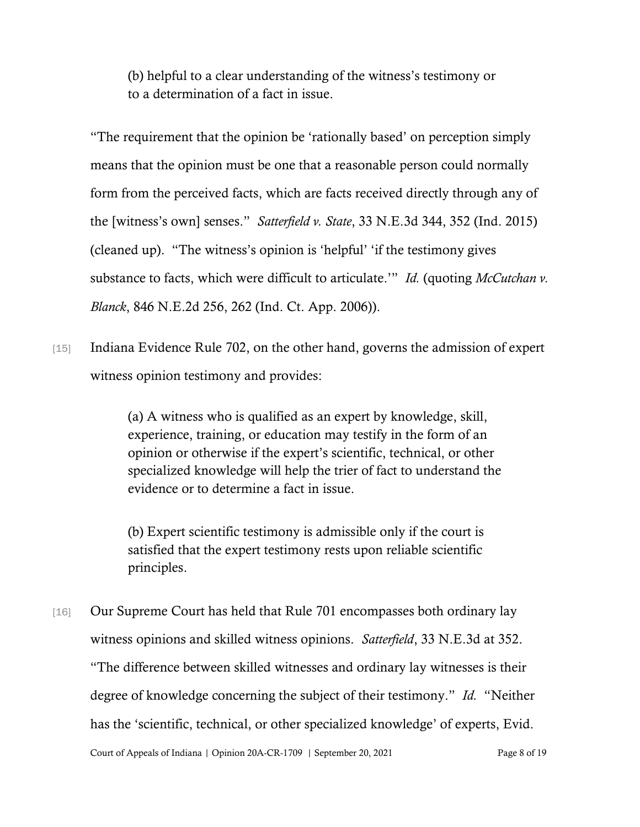(b) helpful to a clear understanding of the witness's testimony or to a determination of a fact in issue.

"The requirement that the opinion be 'rationally based' on perception simply means that the opinion must be one that a reasonable person could normally form from the perceived facts, which are facts received directly through any of the [witness's own] senses." *Satterfield v. State*, 33 N.E.3d 344, 352 (Ind. 2015) (cleaned up). "The witness's opinion is 'helpful' 'if the testimony gives substance to facts, which were difficult to articulate.'" *Id.* (quoting *McCutchan v. Blanck*, 846 N.E.2d 256, 262 (Ind. Ct. App. 2006)).

[15] Indiana Evidence Rule 702, on the other hand, governs the admission of expert witness opinion testimony and provides:

> (a) A witness who is qualified as an expert by knowledge, skill, experience, training, or education may testify in the form of an opinion or otherwise if the expert's scientific, technical, or other specialized knowledge will help the trier of fact to understand the evidence or to determine a fact in issue.

(b) Expert scientific testimony is admissible only if the court is satisfied that the expert testimony rests upon reliable scientific principles.

[16] Our Supreme Court has held that Rule 701 encompasses both ordinary lay witness opinions and skilled witness opinions. *Satterfield*, 33 N.E.3d at 352. "The difference between skilled witnesses and ordinary lay witnesses is their degree of knowledge concerning the subject of their testimony." *Id.* "Neither has the 'scientific, technical, or other specialized knowledge' of experts, Evid.

Court of Appeals of Indiana | Opinion 20A-CR-1709 | September 20, 2021 Page 8 of 19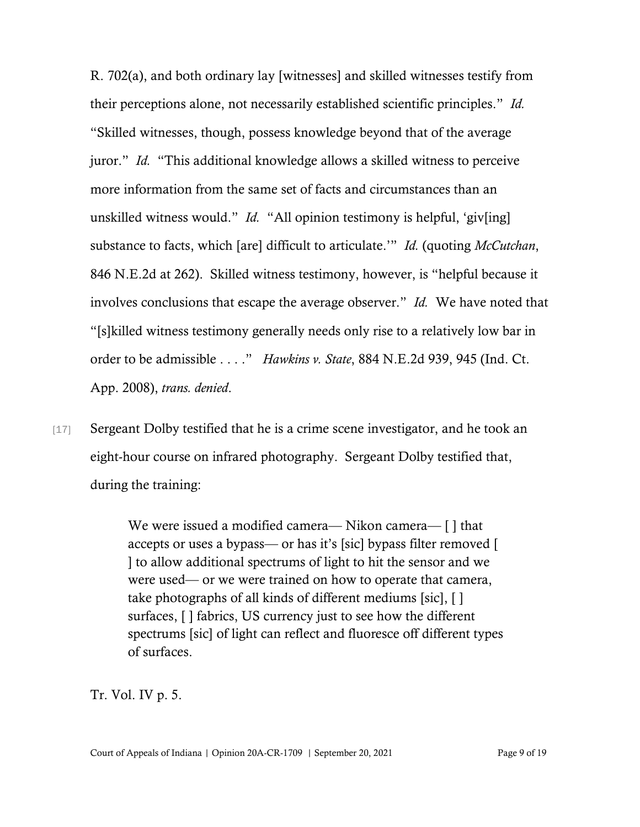R. 702(a), and both ordinary lay [witnesses] and skilled witnesses testify from their perceptions alone, not necessarily established scientific principles." *Id.* "Skilled witnesses, though, possess knowledge beyond that of the average juror." *Id.* "This additional knowledge allows a skilled witness to perceive more information from the same set of facts and circumstances than an unskilled witness would." *Id.* "All opinion testimony is helpful, 'giv[ing] substance to facts, which [are] difficult to articulate.'" *Id.* (quoting *McCutchan*, 846 N.E.2d at 262). Skilled witness testimony, however, is "helpful because it involves conclusions that escape the average observer." *Id.* We have noted that "[s]killed witness testimony generally needs only rise to a relatively low bar in order to be admissible . . . ." *Hawkins v. State*, 884 N.E.2d 939, 945 (Ind. Ct. App. 2008), *trans. denied*.

[17] Sergeant Dolby testified that he is a crime scene investigator, and he took an eight-hour course on infrared photography. Sergeant Dolby testified that, during the training:

> We were issued a modified camera— Nikon camera— [ ] that accepts or uses a bypass— or has it's [sic] bypass filter removed [ ] to allow additional spectrums of light to hit the sensor and we were used— or we were trained on how to operate that camera, take photographs of all kinds of different mediums [sic], [ ] surfaces, [ ] fabrics, US currency just to see how the different spectrums [sic] of light can reflect and fluoresce off different types of surfaces.

Tr. Vol. IV p. 5.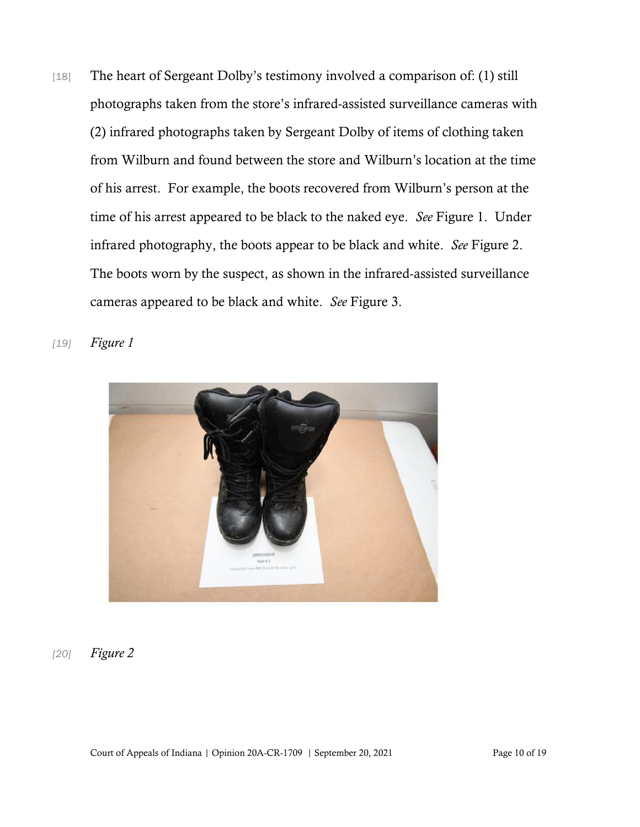- [18] The heart of Sergeant Dolby's testimony involved a comparison of: (1) still photographs taken from the store's infrared-assisted surveillance cameras with (2) infrared photographs taken by Sergeant Dolby of items of clothing taken from Wilburn and found between the store and Wilburn's location at the time of his arrest. For example, the boots recovered from Wilburn's person at the time of his arrest appeared to be black to the naked eye. *See* Figure 1. Under infrared photography, the boots appear to be black and white. *See* Figure 2. The boots worn by the suspect, as shown in the infrared-assisted surveillance cameras appeared to be black and white. *See* Figure 3.
	-
- *[19] Figure 1*

#### *[20] Figure 2*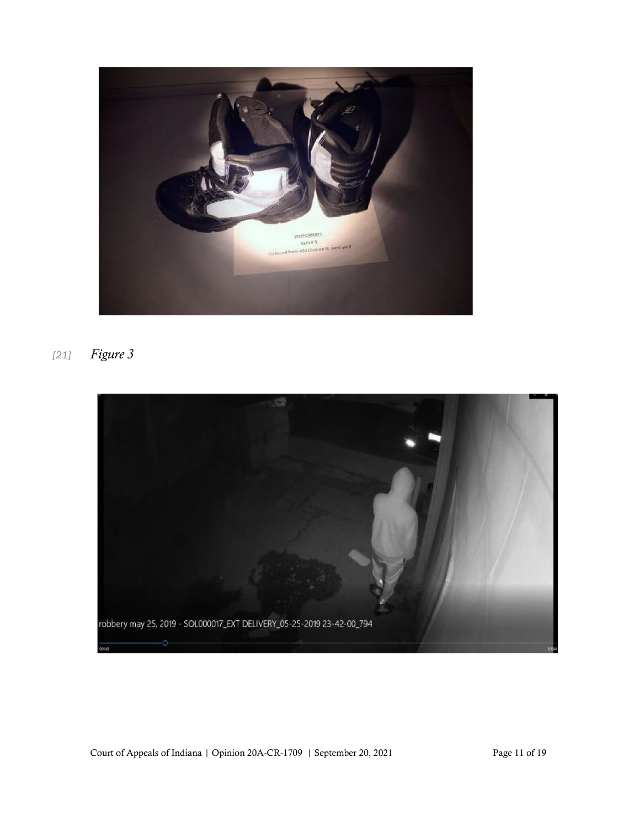

*[21] Figure 3*



Court of Appeals of Indiana | Opinion 20A-CR-1709 | September 20, 2021 Page 11 of 19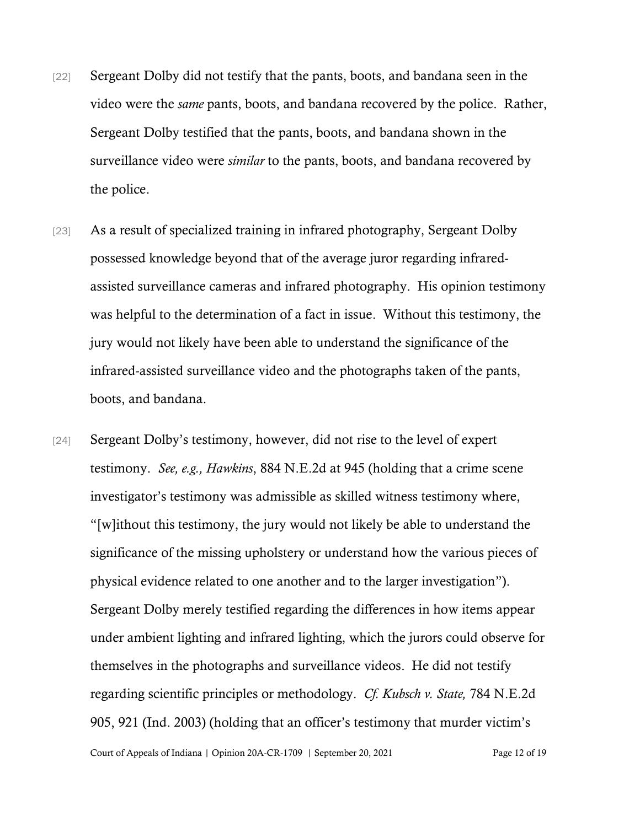- [22] Sergeant Dolby did not testify that the pants, boots, and bandana seen in the video were the *same* pants, boots, and bandana recovered by the police. Rather, Sergeant Dolby testified that the pants, boots, and bandana shown in the surveillance video were *similar* to the pants, boots, and bandana recovered by the police.
- [23] As a result of specialized training in infrared photography, Sergeant Dolby possessed knowledge beyond that of the average juror regarding infraredassisted surveillance cameras and infrared photography. His opinion testimony was helpful to the determination of a fact in issue. Without this testimony, the jury would not likely have been able to understand the significance of the infrared-assisted surveillance video and the photographs taken of the pants, boots, and bandana.
- [24] Sergeant Dolby's testimony, however, did not rise to the level of expert testimony. *See, e.g., Hawkins*, 884 N.E.2d at 945 (holding that a crime scene investigator's testimony was admissible as skilled witness testimony where, "[w]ithout this testimony, the jury would not likely be able to understand the significance of the missing upholstery or understand how the various pieces of physical evidence related to one another and to the larger investigation"). Sergeant Dolby merely testified regarding the differences in how items appear under ambient lighting and infrared lighting, which the jurors could observe for themselves in the photographs and surveillance videos. He did not testify regarding scientific principles or methodology. *Cf. Kubsch v. State,* 784 N.E.2d 905, 921 (Ind. 2003) (holding that an officer's testimony that murder victim's

Court of Appeals of Indiana | Opinion 20A-CR-1709 | September 20, 2021 Page 12 of 19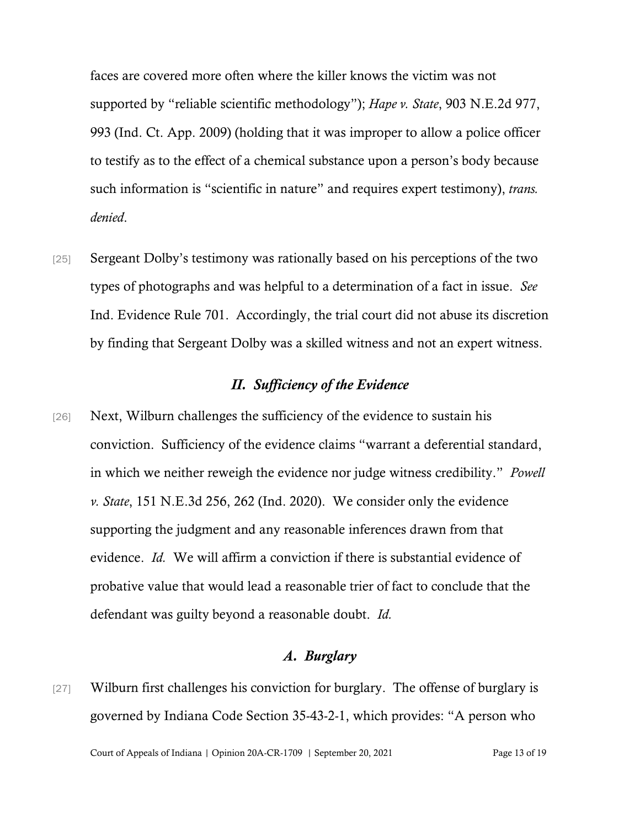faces are covered more often where the killer knows the victim was not supported by "reliable scientific methodology"); *Hape v. State*, 903 N.E.2d 977, 993 (Ind. Ct. App. 2009) (holding that it was improper to allow a police officer to testify as to the effect of a chemical substance upon a person's body because such information is "scientific in nature" and requires expert testimony), *trans. denied*.

[25] Sergeant Dolby's testimony was rationally based on his perceptions of the two types of photographs and was helpful to a determination of a fact in issue. *See* Ind. Evidence Rule 701. Accordingly, the trial court did not abuse its discretion by finding that Sergeant Dolby was a skilled witness and not an expert witness.

### *II. Sufficiency of the Evidence*

[26] Next, Wilburn challenges the sufficiency of the evidence to sustain his conviction. Sufficiency of the evidence claims "warrant a deferential standard, in which we neither reweigh the evidence nor judge witness credibility." *Powell v. State*, 151 N.E.3d 256, 262 (Ind. 2020). We consider only the evidence supporting the judgment and any reasonable inferences drawn from that evidence. *Id.* We will affirm a conviction if there is substantial evidence of probative value that would lead a reasonable trier of fact to conclude that the defendant was guilty beyond a reasonable doubt. *Id.*

## *A. Burglary*

[27] Wilburn first challenges his conviction for burglary. The offense of burglary is governed by Indiana Code Section 35-43-2-1, which provides: "A person who

Court of Appeals of Indiana | Opinion 20A-CR-1709 | September 20, 2021 Page 13 of 19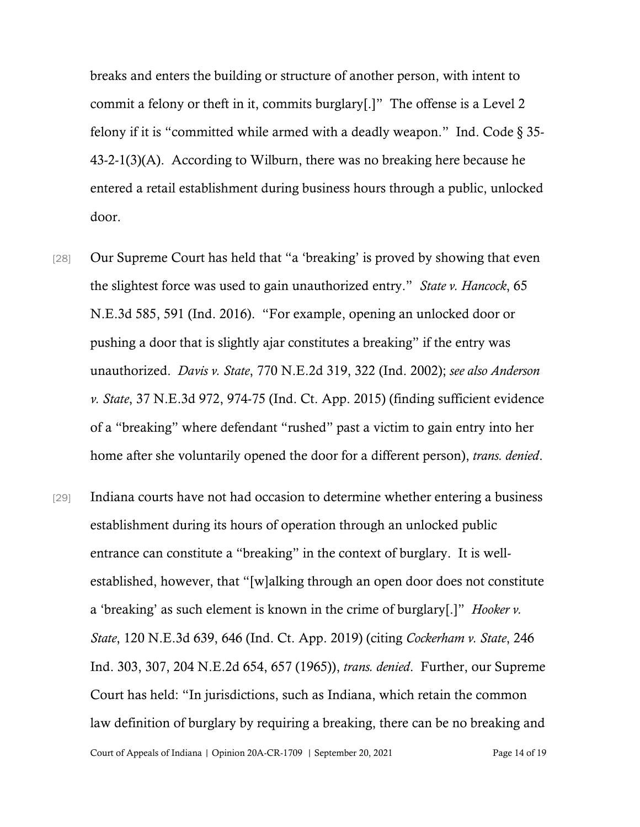breaks and enters the building or structure of another person, with intent to commit a felony or theft in it, commits burglary[.]" The offense is a Level 2 felony if it is "committed while armed with a deadly weapon." Ind. Code § 35- 43-2-1(3)(A). According to Wilburn, there was no breaking here because he entered a retail establishment during business hours through a public, unlocked door.

- [28] Our Supreme Court has held that "a 'breaking' is proved by showing that even the slightest force was used to gain unauthorized entry." *State v. Hancock*, 65 N.E.3d 585, 591 (Ind. 2016). "For example, opening an unlocked door or pushing a door that is slightly ajar constitutes a breaking" if the entry was unauthorized. *Davis v. State*, 770 N.E.2d 319, 322 (Ind. 2002); *see also Anderson v. State*, 37 N.E.3d 972, 974-75 (Ind. Ct. App. 2015) (finding sufficient evidence of a "breaking" where defendant "rushed" past a victim to gain entry into her home after she voluntarily opened the door for a different person), *trans. denied*.
- Court of Appeals of Indiana | Opinion 20A-CR-1709 | September 20, 2021 Page 14 of 19 [29] Indiana courts have not had occasion to determine whether entering a business establishment during its hours of operation through an unlocked public entrance can constitute a "breaking" in the context of burglary. It is wellestablished, however, that "[w]alking through an open door does not constitute a 'breaking' as such element is known in the crime of burglary[.]" *Hooker v. State*, 120 N.E.3d 639, 646 (Ind. Ct. App. 2019) (citing *Cockerham v. State*, 246 Ind. 303, 307, 204 N.E.2d 654, 657 (1965)), *trans. denied*. Further, our Supreme Court has held: "In jurisdictions, such as Indiana, which retain the common law definition of burglary by requiring a breaking, there can be no breaking and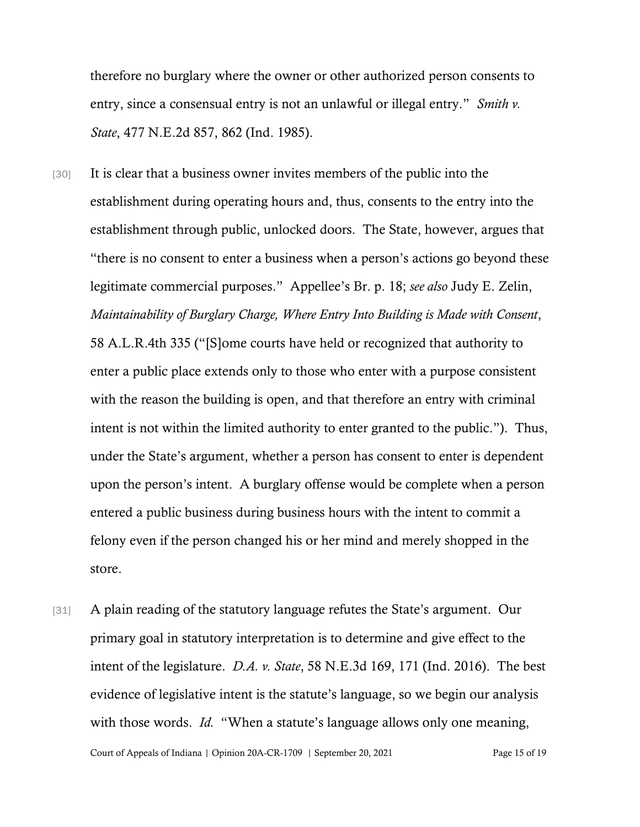therefore no burglary where the owner or other authorized person consents to entry, since a consensual entry is not an unlawful or illegal entry." *Smith v. State*, 477 N.E.2d 857, 862 (Ind. 1985).

- [30] It is clear that a business owner invites members of the public into the establishment during operating hours and, thus, consents to the entry into the establishment through public, unlocked doors. The State, however, argues that "there is no consent to enter a business when a person's actions go beyond these legitimate commercial purposes." Appellee's Br. p. 18; *see also* Judy E. Zelin, *Maintainability of Burglary Charge, Where Entry Into Building is Made with Consent*, 58 A.L.R.4th 335 ("[S]ome courts have held or recognized that authority to enter a public place extends only to those who enter with a purpose consistent with the reason the building is open, and that therefore an entry with criminal intent is not within the limited authority to enter granted to the public."). Thus, under the State's argument, whether a person has consent to enter is dependent upon the person's intent. A burglary offense would be complete when a person entered a public business during business hours with the intent to commit a felony even if the person changed his or her mind and merely shopped in the store.
- [31] A plain reading of the statutory language refutes the State's argument. Our primary goal in statutory interpretation is to determine and give effect to the intent of the legislature. *D.A. v. State*, 58 N.E.3d 169, 171 (Ind. 2016). The best evidence of legislative intent is the statute's language, so we begin our analysis with those words. *Id.* "When a statute's language allows only one meaning,

Court of Appeals of Indiana | Opinion 20A-CR-1709 | September 20, 2021 Page 15 of 19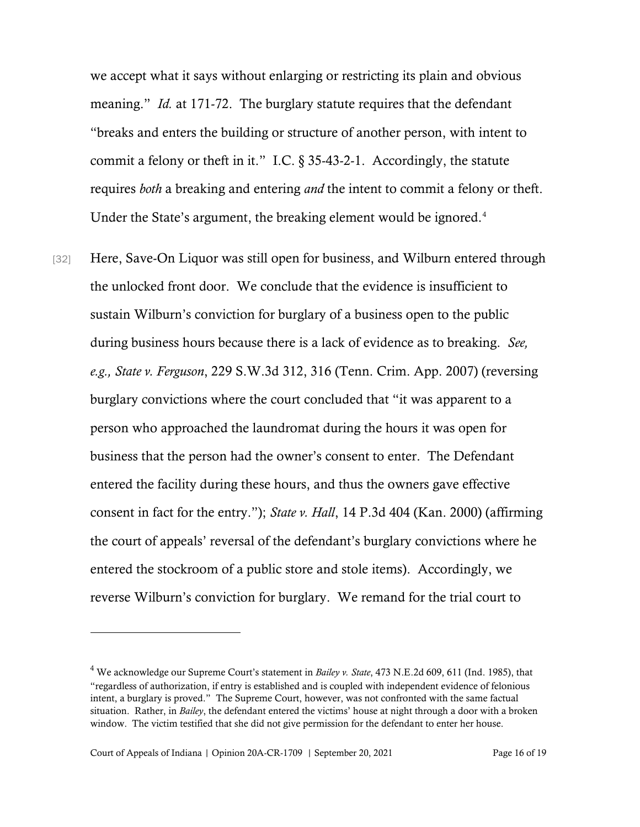we accept what it says without enlarging or restricting its plain and obvious meaning." *Id.* at 171-72. The burglary statute requires that the defendant "breaks and enters the building or structure of another person, with intent to commit a felony or theft in it." I.C. § 35-43-2-1. Accordingly, the statute requires *both* a breaking and entering *and* the intent to commit a felony or theft. Under the State's argument, the breaking element would be ignored.<sup>[4](#page-15-0)</sup>

[32] Here, Save-On Liquor was still open for business, and Wilburn entered through the unlocked front door. We conclude that the evidence is insufficient to sustain Wilburn's conviction for burglary of a business open to the public during business hours because there is a lack of evidence as to breaking. *See, e.g., State v. Ferguson*, 229 S.W.3d 312, 316 (Tenn. Crim. App. 2007) (reversing burglary convictions where the court concluded that "it was apparent to a person who approached the laundromat during the hours it was open for business that the person had the owner's consent to enter. The Defendant entered the facility during these hours, and thus the owners gave effective consent in fact for the entry."); *State v. Hall*, 14 P.3d 404 (Kan. 2000) (affirming the court of appeals' reversal of the defendant's burglary convictions where he entered the stockroom of a public store and stole items). Accordingly, we reverse Wilburn's conviction for burglary. We remand for the trial court to

<span id="page-15-0"></span><sup>4</sup> We acknowledge our Supreme Court's statement in *Bailey v. State*, 473 N.E.2d 609, 611 (Ind. 1985), that "regardless of authorization, if entry is established and is coupled with independent evidence of felonious intent, a burglary is proved." The Supreme Court, however, was not confronted with the same factual situation. Rather, in *Bailey*, the defendant entered the victims' house at night through a door with a broken window. The victim testified that she did not give permission for the defendant to enter her house.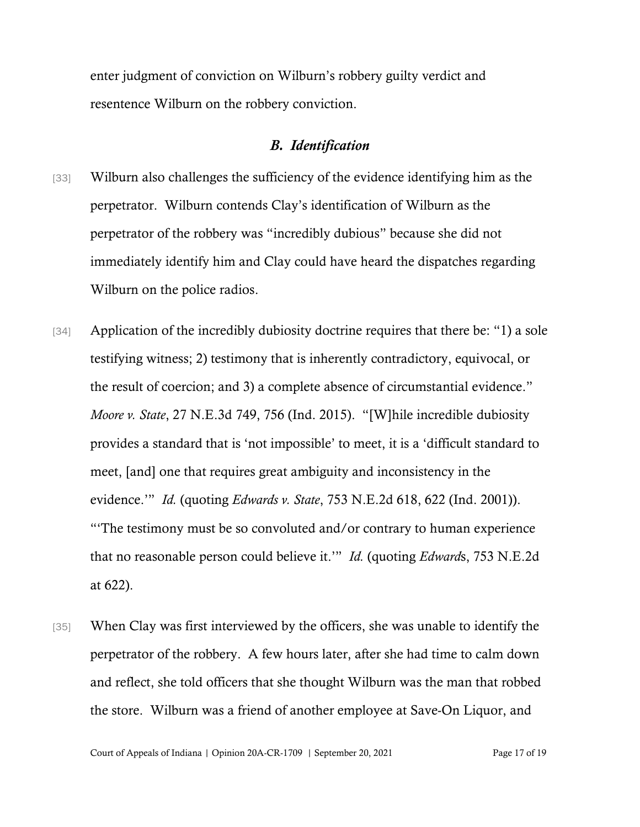enter judgment of conviction on Wilburn's robbery guilty verdict and resentence Wilburn on the robbery conviction.

### *B. Identification*

- [33] Wilburn also challenges the sufficiency of the evidence identifying him as the perpetrator. Wilburn contends Clay's identification of Wilburn as the perpetrator of the robbery was "incredibly dubious" because she did not immediately identify him and Clay could have heard the dispatches regarding Wilburn on the police radios.
- [34] Application of the incredibly dubiosity doctrine requires that there be: "1) a sole testifying witness; 2) testimony that is inherently contradictory, equivocal, or the result of coercion; and 3) a complete absence of circumstantial evidence." *Moore v. State*, 27 N.E.3d 749, 756 (Ind. 2015). "[W]hile incredible dubiosity provides a standard that is 'not impossible' to meet, it is a 'difficult standard to meet, [and] one that requires great ambiguity and inconsistency in the evidence.'" *Id.* (quoting *Edwards v. State*, 753 N.E.2d 618, 622 (Ind. 2001)). "'The testimony must be so convoluted and/or contrary to human experience that no reasonable person could believe it.'" *Id.* (quoting *Edward*s, 753 N.E.2d at 622).
- [35] When Clay was first interviewed by the officers, she was unable to identify the perpetrator of the robbery. A few hours later, after she had time to calm down and reflect, she told officers that she thought Wilburn was the man that robbed the store. Wilburn was a friend of another employee at Save-On Liquor, and

Court of Appeals of Indiana | Opinion 20A-CR-1709 | September 20, 2021 Page 17 of 19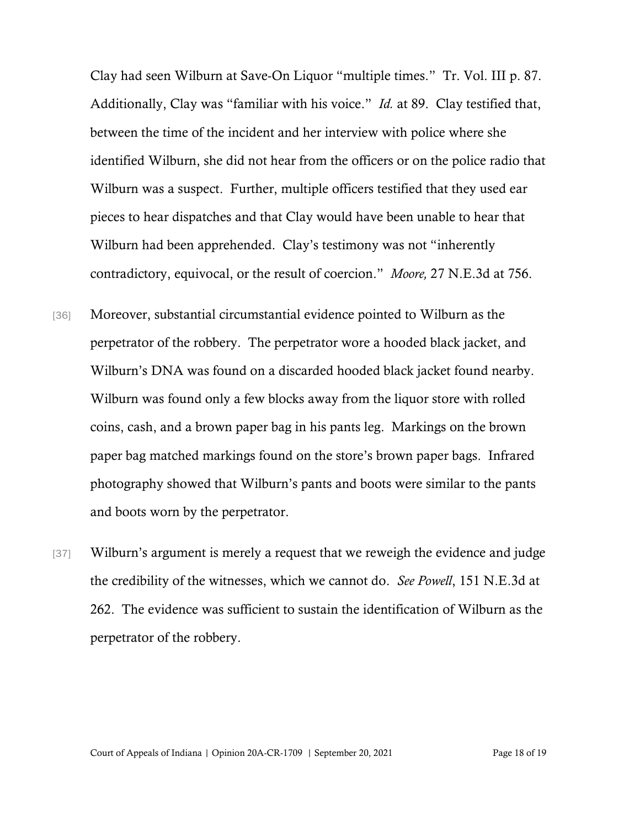Clay had seen Wilburn at Save-On Liquor "multiple times." Tr. Vol. III p. 87. Additionally, Clay was "familiar with his voice." *Id.* at 89. Clay testified that, between the time of the incident and her interview with police where she identified Wilburn, she did not hear from the officers or on the police radio that Wilburn was a suspect. Further, multiple officers testified that they used ear pieces to hear dispatches and that Clay would have been unable to hear that Wilburn had been apprehended. Clay's testimony was not "inherently contradictory, equivocal, or the result of coercion." *Moore,* 27 N.E.3d at 756.

- [36] Moreover, substantial circumstantial evidence pointed to Wilburn as the perpetrator of the robbery. The perpetrator wore a hooded black jacket, and Wilburn's DNA was found on a discarded hooded black jacket found nearby. Wilburn was found only a few blocks away from the liquor store with rolled coins, cash, and a brown paper bag in his pants leg. Markings on the brown paper bag matched markings found on the store's brown paper bags. Infrared photography showed that Wilburn's pants and boots were similar to the pants and boots worn by the perpetrator.
- [37] Wilburn's argument is merely a request that we reweigh the evidence and judge the credibility of the witnesses, which we cannot do. *See Powell*, 151 N.E.3d at 262. The evidence was sufficient to sustain the identification of Wilburn as the perpetrator of the robbery.